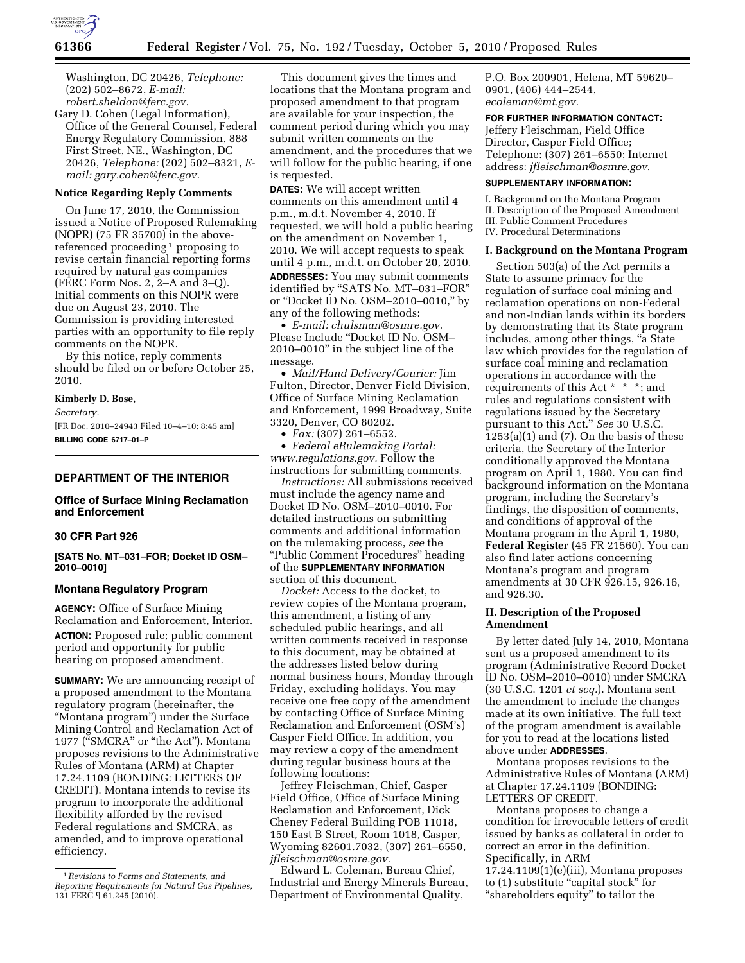

Washington, DC 20426, *Telephone:*  (202) 502–8672, *E-mail: [robert.sheldon@ferc.gov.](mailto:robert.sheldon@ferc.gov)* 

Gary D. Cohen (Legal Information), Office of the General Counsel, Federal Energy Regulatory Commission, 888 First Street, NE., Washington, DC 20426, *Telephone:* (202) 502–8321, *Email: [gary.cohen@ferc.gov.](mailto:gary.cohen@ferc.gov)* 

# **Notice Regarding Reply Comments**

On June 17, 2010, the Commission issued a Notice of Proposed Rulemaking (NOPR) (75 FR 35700) in the abovereferenced proceeding 1 proposing to revise certain financial reporting forms required by natural gas companies (FERC Form Nos. 2, 2–A and 3–Q). Initial comments on this NOPR were due on August 23, 2010. The Commission is providing interested parties with an opportunity to file reply comments on the NOPR.

By this notice, reply comments should be filed on or before October 25, 2010.

#### **Kimberly D. Bose,**

*Secretary.* 

[FR Doc. 2010–24943 Filed 10–4–10; 8:45 am] **BILLING CODE 6717–01–P** 

# **DEPARTMENT OF THE INTERIOR**

## **Office of Surface Mining Reclamation and Enforcement**

# **30 CFR Part 926**

**[SATS No. MT–031–FOR; Docket ID OSM– 2010–0010]** 

# **Montana Regulatory Program**

**AGENCY:** Office of Surface Mining Reclamation and Enforcement, Interior. **ACTION:** Proposed rule; public comment period and opportunity for public hearing on proposed amendment.

**SUMMARY:** We are announcing receipt of a proposed amendment to the Montana regulatory program (hereinafter, the ''Montana program'') under the Surface Mining Control and Reclamation Act of 1977 ("SMCRA" or "the Act"). Montana proposes revisions to the Administrative Rules of Montana (ARM) at Chapter 17.24.1109 (BONDING: LETTERS OF CREDIT). Montana intends to revise its program to incorporate the additional flexibility afforded by the revised Federal regulations and SMCRA, as amended, and to improve operational efficiency.

This document gives the times and locations that the Montana program and proposed amendment to that program are available for your inspection, the comment period during which you may submit written comments on the amendment, and the procedures that we will follow for the public hearing, if one is requested.

**DATES:** We will accept written comments on this amendment until 4 p.m., m.d.t. November 4, 2010. If requested, we will hold a public hearing on the amendment on November 1, 2010. We will accept requests to speak until 4 p.m., m.d.t. on October 20, 2010. **ADDRESSES:** You may submit comments identified by ''SATS No. MT–031–FOR'' or ''Docket ID No. OSM–2010–0010,'' by any of the following methods:

• *E-mail: [chulsman@osmre.gov.](mailto:chulsman@osmre.gov)*  Please Include ''Docket ID No. OSM– 2010–0010'' in the subject line of the message.

• *Mail/Hand Delivery/Courier:* Jim Fulton, Director, Denver Field Division, Office of Surface Mining Reclamation and Enforcement, 1999 Broadway, Suite 3320, Denver, CO 80202.

• *Fax:* (307) 261–6552.

• *Federal eRulemaking Portal: [www.regulations.gov.](http://www.regulations.gov)* Follow the instructions for submitting comments.

*Instructions:* All submissions received must include the agency name and Docket ID No. OSM–2010–0010. For detailed instructions on submitting comments and additional information on the rulemaking process, *see* the ''Public Comment Procedures'' heading of the **SUPPLEMENTARY INFORMATION** section of this document.

*Docket:* Access to the docket, to review copies of the Montana program, this amendment, a listing of any scheduled public hearings, and all written comments received in response to this document, may be obtained at the addresses listed below during normal business hours, Monday through Friday, excluding holidays. You may receive one free copy of the amendment by contacting Office of Surface Mining Reclamation and Enforcement (OSM's) Casper Field Office. In addition, you may review a copy of the amendment during regular business hours at the following locations:

Jeffrey Fleischman, Chief, Casper Field Office, Office of Surface Mining Reclamation and Enforcement, Dick Cheney Federal Building POB 11018, 150 East B Street, Room 1018, Casper, Wyoming 82601.7032, (307) 261–6550, *[jfleischman@osmre.gov.](mailto:jfleischman@osmre.gov)* 

Edward L. Coleman, Bureau Chief, Industrial and Energy Minerals Bureau, Department of Environmental Quality,

P.O. Box 200901, Helena, MT 59620– 0901, (406) 444–2544, *[ecoleman@mt.gov.](mailto:ecoleman@mt.gov)* 

**FOR FURTHER INFORMATION CONTACT:**  Jeffery Fleischman, Field Office Director, Casper Field Office; Telephone: (307) 261–6550; Internet address: *[jfleischman@osmre.gov.](mailto:jfleischman@osmre.gov)* 

#### **SUPPLEMENTARY INFORMATION:**

I. Background on the Montana Program II. Description of the Proposed Amendment III. Public Comment Procedures IV. Procedural Determinations

#### **I. Background on the Montana Program**

Section 503(a) of the Act permits a State to assume primacy for the regulation of surface coal mining and reclamation operations on non-Federal and non-Indian lands within its borders by demonstrating that its State program includes, among other things, "a State law which provides for the regulation of surface coal mining and reclamation operations in accordance with the requirements of this Act \* \* \*; and rules and regulations consistent with regulations issued by the Secretary pursuant to this Act.'' *See* 30 U.S.C.  $1253(a)(1)$  and  $(7)$ . On the basis of these criteria, the Secretary of the Interior conditionally approved the Montana program on April 1, 1980. You can find background information on the Montana program, including the Secretary's findings, the disposition of comments, and conditions of approval of the Montana program in the April 1, 1980, **Federal Register** (45 FR 21560). You can also find later actions concerning Montana's program and program amendments at 30 CFR 926.15, 926.16, and 926.30.

## **II. Description of the Proposed Amendment**

By letter dated July 14, 2010, Montana sent us a proposed amendment to its program (Administrative Record Docket ID No. OSM–2010–0010) under SMCRA (30 U.S.C. 1201 *et seq.*). Montana sent the amendment to include the changes made at its own initiative. The full text of the program amendment is available for you to read at the locations listed above under **ADDRESSES**.

Montana proposes revisions to the Administrative Rules of Montana (ARM) at Chapter 17.24.1109 (BONDING: LETTERS OF CREDIT.

Montana proposes to change a condition for irrevocable letters of credit issued by banks as collateral in order to correct an error in the definition. Specifically, in ARM

17.24.1109(1)(e)(iii), Montana proposes to (1) substitute "capital stock" for "shareholders equity" to tailor the

<sup>1</sup>*Revisions to Forms and Statements, and Reporting Requirements for Natural Gas Pipelines,*  131 FERC ¶ 61,245 (2010).